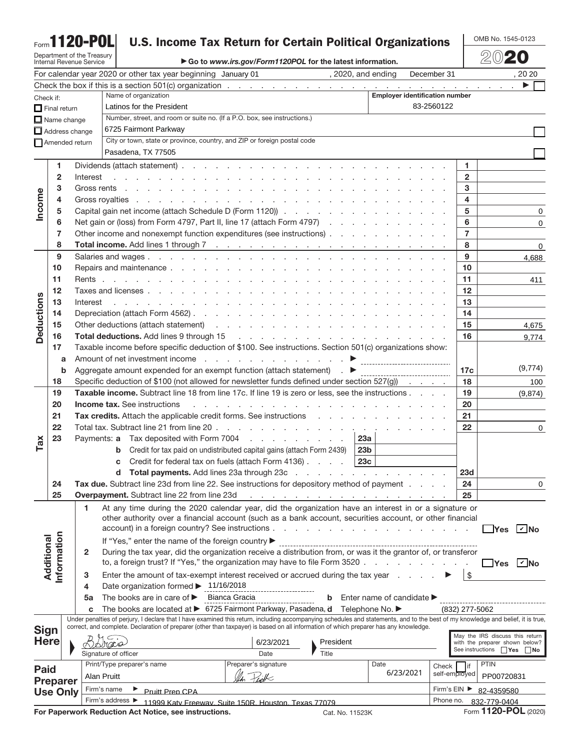## Form**1120-POL**

Department of the Treasury Internal Revenue Service

## **U.S. Income Tax Return for Certain Political Organizations**

OMB No. 1545-0123

▶ Go to *www.irs.gov/Form1120POL* for the latest information.

20**20**

| For calendar year 2020 or other tax year beginning January 01 (3020, and ending<br>December 31 |                     |                       |                                                                                                                                                                                                                                                                                                                           |                                                                                           |                 |                                       | , 20 20                |                 |                                                                  |                                        |  |
|------------------------------------------------------------------------------------------------|---------------------|-----------------------|---------------------------------------------------------------------------------------------------------------------------------------------------------------------------------------------------------------------------------------------------------------------------------------------------------------------------|-------------------------------------------------------------------------------------------|-----------------|---------------------------------------|------------------------|-----------------|------------------------------------------------------------------|----------------------------------------|--|
|                                                                                                |                     |                       |                                                                                                                                                                                                                                                                                                                           |                                                                                           |                 |                                       |                        |                 |                                                                  |                                        |  |
| Check if:                                                                                      |                     |                       | Name of organization                                                                                                                                                                                                                                                                                                      |                                                                                           |                 | <b>Employer identification number</b> |                        |                 |                                                                  |                                        |  |
|                                                                                                | $\Box$ Final return |                       | Latinos for the President                                                                                                                                                                                                                                                                                                 |                                                                                           |                 | 83-2560122                            |                        |                 |                                                                  |                                        |  |
|                                                                                                |                     | $\Box$ Name change    | Number, street, and room or suite no. (If a P.O. box, see instructions.)                                                                                                                                                                                                                                                  |                                                                                           |                 |                                       |                        |                 |                                                                  |                                        |  |
|                                                                                                |                     | $\Box$ Address change | 6725 Fairmont Parkway                                                                                                                                                                                                                                                                                                     |                                                                                           |                 |                                       |                        |                 |                                                                  |                                        |  |
|                                                                                                |                     | Amended return        | City or town, state or province, country, and ZIP or foreign postal code                                                                                                                                                                                                                                                  |                                                                                           |                 |                                       |                        |                 |                                                                  |                                        |  |
|                                                                                                |                     |                       | Pasadena, TX 77505                                                                                                                                                                                                                                                                                                        |                                                                                           |                 |                                       |                        |                 |                                                                  |                                        |  |
|                                                                                                | 1                   |                       |                                                                                                                                                                                                                                                                                                                           |                                                                                           |                 |                                       |                        | 1.              |                                                                  |                                        |  |
|                                                                                                | $\mathbf{2}$        | Interest              | and the property of the property of the property of the property of the property of the property of the property of the property of the property of the property of the property of the property of the property of the proper                                                                                            |                                                                                           |                 |                                       |                        | $\mathbf{2}$    |                                                                  |                                        |  |
|                                                                                                | 3                   |                       |                                                                                                                                                                                                                                                                                                                           |                                                                                           |                 |                                       |                        | 3               |                                                                  |                                        |  |
| Income                                                                                         | 4                   |                       |                                                                                                                                                                                                                                                                                                                           |                                                                                           |                 |                                       |                        | 4               |                                                                  |                                        |  |
|                                                                                                | 5                   |                       | Capital gain net income (attach Schedule D (Form 1120))                                                                                                                                                                                                                                                                   |                                                                                           |                 |                                       |                        | 5               |                                                                  | 0                                      |  |
|                                                                                                | 6                   |                       | Net gain or (loss) from Form 4797, Part II, line 17 (attach Form 4797)                                                                                                                                                                                                                                                    |                                                                                           |                 |                                       |                        | 6               |                                                                  | 0                                      |  |
|                                                                                                | 7                   |                       | Other income and nonexempt function expenditures (see instructions)                                                                                                                                                                                                                                                       |                                                                                           |                 |                                       |                        | $\overline{7}$  |                                                                  |                                        |  |
|                                                                                                | 8                   |                       |                                                                                                                                                                                                                                                                                                                           |                                                                                           |                 |                                       |                        | 8               |                                                                  | 0                                      |  |
|                                                                                                | 9                   |                       |                                                                                                                                                                                                                                                                                                                           |                                                                                           |                 |                                       |                        | 9               |                                                                  | 4.688                                  |  |
|                                                                                                | 10                  |                       |                                                                                                                                                                                                                                                                                                                           |                                                                                           |                 |                                       |                        | 10              |                                                                  |                                        |  |
|                                                                                                | 11                  |                       |                                                                                                                                                                                                                                                                                                                           |                                                                                           |                 |                                       |                        | 11              |                                                                  | 411                                    |  |
|                                                                                                | 12                  |                       |                                                                                                                                                                                                                                                                                                                           |                                                                                           |                 |                                       |                        | 12              |                                                                  |                                        |  |
|                                                                                                | 13                  | Interest              | and the property of the property of the property of the property of the property of the property of the property of the property of the property of the property of the property of the property of the property of the proper                                                                                            |                                                                                           |                 |                                       |                        | 13              |                                                                  |                                        |  |
| <b>Deductions</b>                                                                              | 14                  |                       |                                                                                                                                                                                                                                                                                                                           |                                                                                           |                 |                                       |                        | 14              |                                                                  |                                        |  |
|                                                                                                | 15                  |                       | Other deductions (attach statement) (e.g. in the contract of the contract of the contract of the contract of the contract of the contract of the contract of the contract of the contract of the contract of the contract of t                                                                                            |                                                                                           |                 |                                       |                        | 15              |                                                                  | 4,675                                  |  |
|                                                                                                | 16                  |                       | Total deductions. Add lines 9 through 15 (a) and a set of the set of the set of the set of the set of the set of the set of the set of the set of the set of the set of the set of the set of the set of the set of the set of                                                                                            |                                                                                           |                 |                                       |                        | 16              |                                                                  | 9,774                                  |  |
|                                                                                                | 17                  |                       | Taxable income before specific deduction of \$100. See instructions. Section 501(c) organizations show:                                                                                                                                                                                                                   |                                                                                           |                 |                                       |                        |                 |                                                                  |                                        |  |
|                                                                                                | a                   |                       |                                                                                                                                                                                                                                                                                                                           |                                                                                           |                 |                                       |                        |                 |                                                                  |                                        |  |
|                                                                                                | b                   |                       | Aggregate amount expended for an exempt function (attach statement) . ▶                                                                                                                                                                                                                                                   |                                                                                           |                 | ---------------------------------     |                        | 17 <sub>c</sub> |                                                                  | (9,774)                                |  |
|                                                                                                | 18                  |                       | Specific deduction of \$100 (not allowed for newsletter funds defined under section $527(g)$ ).                                                                                                                                                                                                                           |                                                                                           |                 |                                       |                        | 18              |                                                                  | 100                                    |  |
|                                                                                                | 19                  |                       | Taxable income. Subtract line 18 from line 17c. If line 19 is zero or less, see the instructions                                                                                                                                                                                                                          |                                                                                           |                 |                                       |                        | 19              |                                                                  | (9,874)                                |  |
|                                                                                                | 20                  |                       | <b>Income tax.</b> See instructions                                                                                                                                                                                                                                                                                       | والمناور والمناور والمناور والمناور والمناور والمناور والمناور والمناور والمناور والمناور |                 |                                       |                        | 20              |                                                                  |                                        |  |
|                                                                                                | 21                  |                       | Tax credits. Attach the applicable credit forms. See instructions                                                                                                                                                                                                                                                         |                                                                                           |                 |                                       |                        | 21              |                                                                  |                                        |  |
|                                                                                                | 22                  |                       |                                                                                                                                                                                                                                                                                                                           |                                                                                           |                 |                                       |                        | 22              |                                                                  | 0                                      |  |
| Ta <b>x</b>                                                                                    | 23                  |                       | Payments: a                                                                                                                                                                                                                                                                                                               | Tax deposited with Form 7004                                                              | 23a             |                                       |                        |                 |                                                                  |                                        |  |
|                                                                                                |                     |                       | b                                                                                                                                                                                                                                                                                                                         | Credit for tax paid on undistributed capital gains (attach Form 2439)                     | 23 <sub>b</sub> |                                       |                        |                 |                                                                  |                                        |  |
|                                                                                                |                     |                       | с                                                                                                                                                                                                                                                                                                                         | Credit for federal tax on fuels (attach Form 4136)                                        | 23c             |                                       |                        |                 |                                                                  |                                        |  |
|                                                                                                |                     |                       | d                                                                                                                                                                                                                                                                                                                         | Total payments. Add lines 23a through 23c                                                 |                 |                                       |                        | 23d             |                                                                  |                                        |  |
|                                                                                                | 24                  |                       | Tax due. Subtract line 23d from line 22. See instructions for depository method of payment                                                                                                                                                                                                                                |                                                                                           |                 |                                       |                        | 24              |                                                                  | 0                                      |  |
|                                                                                                | 25                  |                       |                                                                                                                                                                                                                                                                                                                           |                                                                                           |                 |                                       |                        | 25              |                                                                  |                                        |  |
|                                                                                                |                     | 1                     | At any time during the 2020 calendar year, did the organization have an interest in or a signature or                                                                                                                                                                                                                     |                                                                                           |                 |                                       |                        |                 |                                                                  |                                        |  |
|                                                                                                |                     |                       | other authority over a financial account (such as a bank account, securities account, or other financial                                                                                                                                                                                                                  |                                                                                           |                 |                                       |                        |                 |                                                                  |                                        |  |
|                                                                                                |                     |                       |                                                                                                                                                                                                                                                                                                                           |                                                                                           |                 |                                       |                        |                 |                                                                  | $\exists$ Yes $\boxed{\mathcal{C}}$ No |  |
|                                                                                                |                     |                       | If "Yes," enter the name of the foreign country ▶                                                                                                                                                                                                                                                                         |                                                                                           |                 |                                       |                        |                 |                                                                  |                                        |  |
| Additional                                                                                     | nformation          | $\mathbf{2}$          | During the tax year, did the organization receive a distribution from, or was it the grantor of, or transferor                                                                                                                                                                                                            |                                                                                           |                 |                                       |                        |                 |                                                                  |                                        |  |
|                                                                                                |                     |                       | to, a foreign trust? If "Yes," the organization may have to file Form 3520                                                                                                                                                                                                                                                |                                                                                           |                 |                                       |                        |                 |                                                                  | $\Box$ Yes $\Box$ No                   |  |
|                                                                                                |                     | 3                     | Enter the amount of tax-exempt interest received or accrued during the tax year                                                                                                                                                                                                                                           |                                                                                           |                 |                                       |                        | \$              |                                                                  |                                        |  |
|                                                                                                |                     | 4                     | Date organization formed > 11/16/2018                                                                                                                                                                                                                                                                                     |                                                                                           |                 |                                       |                        |                 |                                                                  |                                        |  |
|                                                                                                |                     | 5a                    | The books are in care of $\blacktriangleright$                                                                                                                                                                                                                                                                            | Bianca Gracia                                                                             | b               | Enter name of candidate ▶             |                        |                 |                                                                  |                                        |  |
|                                                                                                |                     | c                     | The books are located at ▶ 6725 Fairmont Parkway, Pasadena, d Telephone No. ▶                                                                                                                                                                                                                                             |                                                                                           |                 |                                       |                        | (832) 277-5062  |                                                                  |                                        |  |
|                                                                                                |                     |                       | Under penalties of perjury, I declare that I have examined this return, including accompanying schedules and statements, and to the best of my knowledge and belief, it is true,<br>correct, and complete. Declaration of preparer (other than taxpayer) is based on all information of which preparer has any knowledge. |                                                                                           |                 |                                       |                        |                 |                                                                  |                                        |  |
| <b>Sign</b>                                                                                    |                     |                       |                                                                                                                                                                                                                                                                                                                           |                                                                                           |                 |                                       |                        |                 | May the IRS discuss this return                                  |                                        |  |
| <b>Here</b>                                                                                    |                     |                       |                                                                                                                                                                                                                                                                                                                           | 6/23/2021                                                                                 | President       |                                       |                        |                 | with the preparer shown below?<br>See instructions <b>Yes</b> No |                                        |  |
|                                                                                                |                     |                       | Signature of officer                                                                                                                                                                                                                                                                                                      | Title<br>Date                                                                             |                 |                                       |                        |                 |                                                                  |                                        |  |
| <b>Paid</b>                                                                                    |                     |                       | Print/Type preparer's name                                                                                                                                                                                                                                                                                                | Preparer's signature                                                                      |                 | Date<br>6/23/2021                     | Check<br>self-employed | <b>l</b> if     | <b>PTIN</b>                                                      |                                        |  |
|                                                                                                | <b>Preparer</b>     |                       | Alan Pruitt                                                                                                                                                                                                                                                                                                               |                                                                                           |                 |                                       |                        |                 | PP00720831                                                       |                                        |  |
|                                                                                                | <b>Use Only</b>     |                       | Firm's name<br>Pruitt Prep CPA                                                                                                                                                                                                                                                                                            |                                                                                           |                 |                                       | Firm's EIN ▶           |                 | 82-4359580                                                       |                                        |  |
|                                                                                                |                     |                       | Firm's address ▶<br>11999 Katy Freeway, Suite 150R, Houston, Texas 77079                                                                                                                                                                                                                                                  |                                                                                           |                 |                                       |                        |                 | Phone no.<br>832-779-0404                                        |                                        |  |

**For Paperwork Reduction Act Notice, see instructions.** Cat. No. 11523K Form **1120-POL** (2020)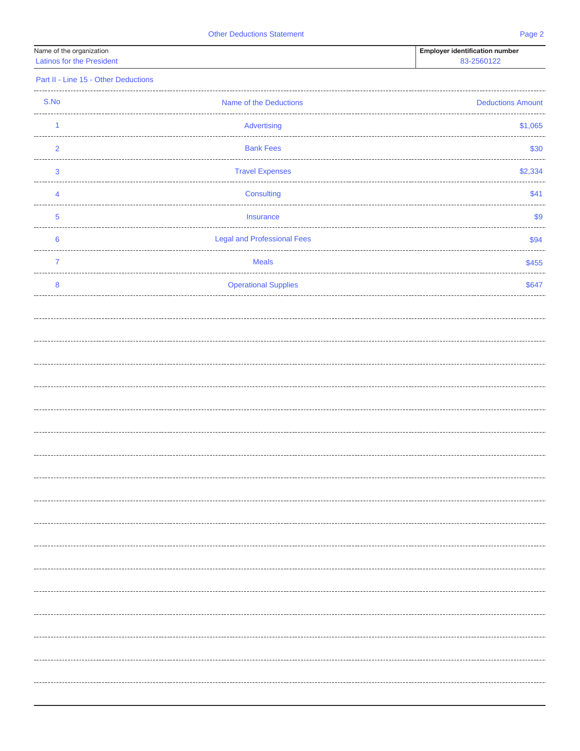| Name of the organization         |  |
|----------------------------------|--|
| <b>Latinos for the President</b> |  |

Employer identification number Latinos for the President 83-2560122

## Part II - Line 15 - Other Deductions

| S.No            | Name of the Deductions             | <b>Deductions Amount</b> |
|-----------------|------------------------------------|--------------------------|
| 1               | Advertising                        | \$1,065                  |
| $\overline{2}$  | <b>Bank Fees</b>                   | \$30                     |
| 3               | <b>Travel Expenses</b>             | \$2,334                  |
| $\overline{4}$  | Consulting                         | \$41                     |
| 5               | Insurance                          | \$9                      |
| $6\phantom{1}6$ | <b>Legal and Professional Fees</b> | \$94                     |
| $\overline{7}$  | <b>Meals</b>                       | \$455                    |
| 8               | <b>Operational Supplies</b>        | \$647                    |
|                 |                                    |                          |
|                 |                                    |                          |
|                 |                                    |                          |
|                 |                                    |                          |
|                 |                                    |                          |
|                 |                                    |                          |
|                 |                                    |                          |
|                 |                                    |                          |
|                 |                                    |                          |
|                 |                                    |                          |
|                 |                                    | .                        |
|                 |                                    |                          |
|                 |                                    |                          |
|                 |                                    |                          |
|                 |                                    |                          |
|                 |                                    |                          |
|                 |                                    |                          |
|                 |                                    |                          |